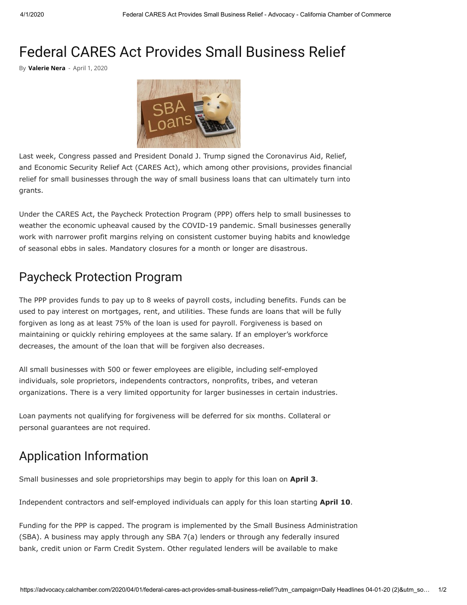# Federal CARES Act Provides Small Business Relief

By **[Valerie Nera](https://advocacy.calchamber.com/author/valerienera/)** - April 1, 2020



Last week, Congress passed and President Donald J. Trump signed the Coronavirus Aid, Relief, and Economic Security Relief Act (CARES Act), which among other provisions, provides financial relief for small businesses through the way of small business loans that can ultimately turn into grants.

Under the CARES Act, the Paycheck Protection Program (PPP) offers help to small businesses to weather the economic upheaval caused by the COVID-19 pandemic. Small businesses generally work with narrower profit margins relying on consistent customer buying habits and knowledge of seasonal ebbs in sales. Mandatory closures for a month or longer are disastrous.

## Paycheck Protection Program

The PPP provides funds to pay up to 8 weeks of payroll costs, including benefits. Funds can be used to pay interest on mortgages, rent, and utilities. These funds are loans that will be fully forgiven as long as at least 75% of the loan is used for payroll. Forgiveness is based on maintaining or quickly rehiring employees at the same salary. If an employer's workforce decreases, the amount of the loan that will be forgiven also decreases.

All small businesses with 500 or fewer employees are eligible, including self-employed individuals, sole proprietors, independents contractors, nonprofits, tribes, and veteran organizations. There is a very limited opportunity for larger businesses in certain industries.

Loan payments not qualifying for forgiveness will be deferred for six months. Collateral or personal guarantees are not required.

### Application Information

Small businesses and sole proprietorships may begin to apply for this loan on **April 3**.

Independent contractors and self-employed individuals can apply for this loan starting **April 10**.

Funding for the PPP is capped. The program is implemented by the Small Business Administration (SBA). A business may apply through any SBA 7(a) lenders or through any federally insured bank, credit union or Farm Credit System. Other regulated lenders will be available to make